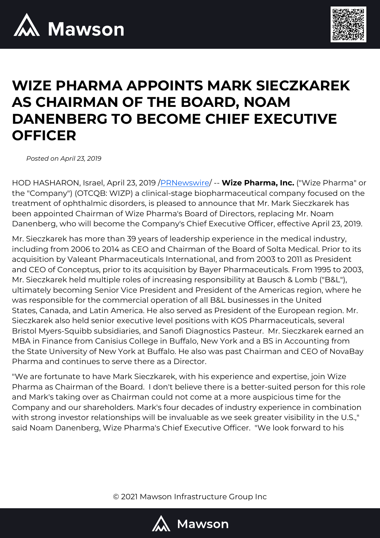



## **WIZE PHARMA APPOINTS MARK SIECZKAREK AS CHAIRMAN OF THE BOARD, NOAM DANENBERG TO BECOME CHIEF EXECUTIVE OFFICER**

*Posted on April 23, 2019*

HOD HASHARON, Israel, April 23, 2019 [/PRNewswire](http://www.prnewswire.com/)/ -- **Wize Pharma, Inc.** ("Wize Pharma" or the "Company") (OTCQB: WIZP) a clinical-stage biopharmaceutical company focused on the treatment of ophthalmic disorders, is pleased to announce that Mr. Mark Sieczkarek has been appointed Chairman of Wize Pharma's Board of Directors, replacing Mr. Noam Danenberg, who will become the Company's Chief Executive Officer, effective April 23, 2019.

Mr. Sieczkarek has more than 39 years of leadership experience in the medical industry, including from 2006 to 2014 as CEO and Chairman of the Board of Solta Medical. Prior to its acquisition by Valeant Pharmaceuticals International, and from 2003 to 2011 as President and CEO of Conceptus, prior to its acquisition by Bayer Pharmaceuticals. From 1995 to 2003, Mr. Sieczkarek held multiple roles of increasing responsibility at Bausch & Lomb ("B&L"), ultimately becoming Senior Vice President and President of the Americas region, where he was responsible for the commercial operation of all B&L businesses in the United States, Canada, and Latin America. He also served as President of the European region. Mr. Sieczkarek also held senior executive level positions with KOS Pharmaceuticals, several Bristol Myers-Squibb subsidiaries, and Sanofi Diagnostics Pasteur. Mr. Sieczkarek earned an MBA in Finance from Canisius College in Buffalo, New York and a BS in Accounting from the State University of New York at Buffalo. He also was past Chairman and CEO of NovaBay Pharma and continues to serve there as a Director.

"We are fortunate to have Mark Sieczkarek, with his experience and expertise, join Wize Pharma as Chairman of the Board. I don't believe there is a better-suited person for this role and Mark's taking over as Chairman could not come at a more auspicious time for the Company and our shareholders. Mark's four decades of industry experience in combination with strong investor relationships will be invaluable as we seek greater visibility in the U.S.," said Noam Danenberg, Wize Pharma's Chief Executive Officer. "We look forward to his

© 2021 Mawson Infrastructure Group Inc

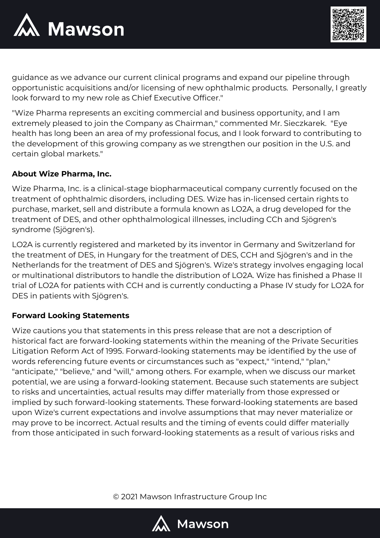



guidance as we advance our current clinical programs and expand our pipeline through opportunistic acquisitions and/or licensing of new ophthalmic products. Personally, I greatly look forward to my new role as Chief Executive Officer."

"Wize Pharma represents an exciting commercial and business opportunity, and I am extremely pleased to join the Company as Chairman," commented Mr. Sieczkarek. "Eye health has long been an area of my professional focus, and I look forward to contributing to the development of this growing company as we strengthen our position in the U.S. and certain global markets."

## **About Wize Pharma, Inc.**

Wize Pharma, Inc. is a clinical-stage biopharmaceutical company currently focused on the treatment of ophthalmic disorders, including DES. Wize has in-licensed certain rights to purchase, market, sell and distribute a formula known as LO2A, a drug developed for the treatment of DES, and other ophthalmological illnesses, including CCh and Sjögren's syndrome (Sjögren's).

LO2A is currently registered and marketed by its inventor in Germany and Switzerland for the treatment of DES, in Hungary for the treatment of DES, CCH and Sjögren's and in the Netherlands for the treatment of DES and Sjögren's. Wize's strategy involves engaging local or multinational distributors to handle the distribution of LO2A. Wize has finished a Phase II trial of LO2A for patients with CCH and is currently conducting a Phase IV study for LO2A for DES in patients with Sjögren's.

## **Forward Looking Statements**

Wize cautions you that statements in this press release that are not a description of historical fact are forward-looking statements within the meaning of the Private Securities Litigation Reform Act of 1995. Forward-looking statements may be identified by the use of words referencing future events or circumstances such as "expect," "intend," "plan," "anticipate," "believe," and "will," among others. For example, when we discuss our market potential, we are using a forward-looking statement. Because such statements are subject to risks and uncertainties, actual results may differ materially from those expressed or implied by such forward-looking statements. These forward-looking statements are based upon Wize's current expectations and involve assumptions that may never materialize or may prove to be incorrect. Actual results and the timing of events could differ materially from those anticipated in such forward-looking statements as a result of various risks and

© 2021 Mawson Infrastructure Group Inc